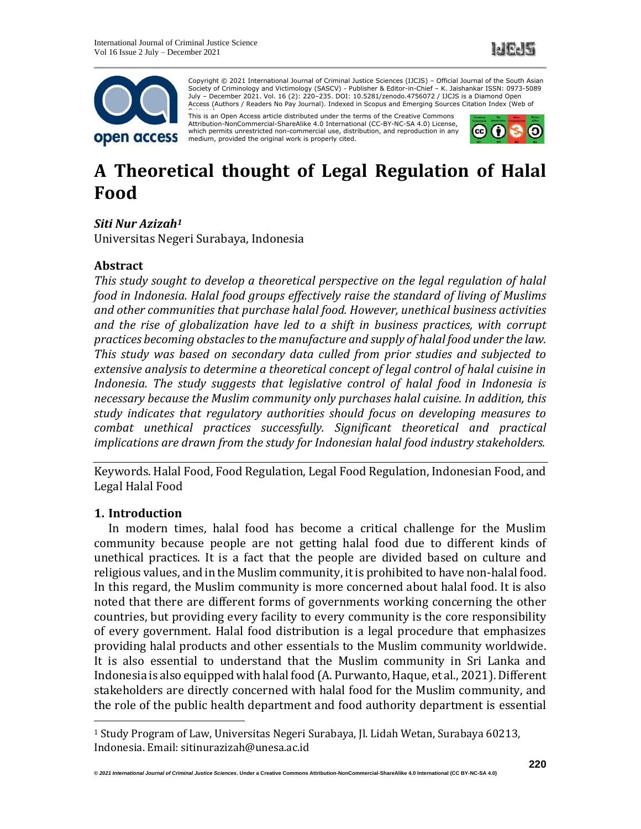



Copyright © 2021 International Journal of Criminal Justice Sciences (IJCJS) – Official Journal of the South Asian Society of Criminology and Victimology (SASCV) - Publisher & Editor-in-Chief – K. Jaishankar ISSN: 0973-5089 July – December 2021. Vol. 16 (2): 220–235. DOI: 10.5281/zenodo.4756072 / IJCJS is a Diamond Open Access (Authors / Readers No Pay Journal). Indexed in Scopus and Emerging Sources Citation Index (Web of

This is an Open Access article distributed under the terms of the Creative Commons Attribution-NonCommercial-ShareAlike 4.0 International (CC-BY-NC-SA 4.0) License, which permits unrestricted non-commercial use, distribution, and reproduction in any medium, provided the original work is properly cited.



# **A Theoretical thought of Legal Regulation of Halal Food**

# *Siti Nur Azizah<sup>1</sup>*

Universitas Negeri Surabaya, Indonesia

# **Abstract**

*This study sought to develop a theoretical perspective on the legal regulation of halal food in Indonesia. Halal food groups effectively raise the standard of living of Muslims and other communities that purchase halal food. However, unethical business activities and the rise of globalization have led to a shift in business practices, with corrupt practices becoming obstacles to the manufacture and supply of halal food under the law. This study was based on secondary data culled from prior studies and subjected to extensive analysis to determine a theoretical concept of legal control of halal cuisine in Indonesia. The study suggests that legislative control of halal food in Indonesia is necessary because the Muslim community only purchases halal cuisine. In addition, this study indicates that regulatory authorities should focus on developing measures to combat unethical practices successfully. Significant theoretical and practical implications are drawn from the study for Indonesian halal food industry stakeholders.*

Keywords. Halal Food, Food Regulation, Legal Food Regulation, Indonesian Food, and Legal Halal Food

#### **1. Introduction**

In modern times, halal food has become a critical challenge for the Muslim community because people are not getting halal food due to different kinds of unethical practices. It is a fact that the people are divided based on culture and religious values, and in the Muslim community, it is prohibited to have non-halal food. In this regard, the Muslim community is more concerned about halal food. It is also noted that there are different forms of governments working concerning the other countries, but providing every facility to every community is the core responsibility of every government. Halal food distribution is a legal procedure that emphasizes providing halal products and other essentials to the Muslim community worldwide. It is also essential to understand that the Muslim community in Sri Lanka and Indonesia is also equipped with halal food (A. Purwanto, Haque, et al., 2021). Different stakeholders are directly concerned with halal food for the Muslim community, and the role of the public health department and food authority department is essential

<sup>1</sup> Study Program of Law, Universitas Negeri Surabaya, Jl. Lidah Wetan, Surabaya 60213, Indonesia. Email: sitinurazizah@unesa.ac.id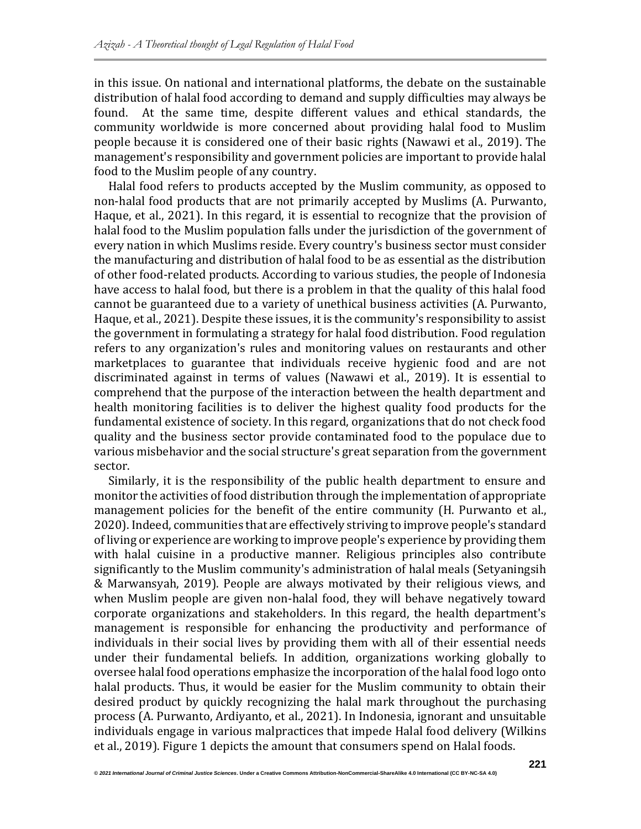in this issue. On national and international platforms, the debate on the sustainable distribution of halal food according to demand and supply difficulties may always be found. At the same time, despite different values and ethical standards, the community worldwide is more concerned about providing halal food to Muslim people because it is considered one of their basic rights (Nawawi et al., 2019). The management's responsibility and government policies are important to provide halal food to the Muslim people of any country.

Halal food refers to products accepted by the Muslim community, as opposed to non-halal food products that are not primarily accepted by Muslims (A. Purwanto, Haque, et al., 2021). In this regard, it is essential to recognize that the provision of halal food to the Muslim population falls under the jurisdiction of the government of every nation in which Muslims reside. Every country's business sector must consider the manufacturing and distribution of halal food to be as essential as the distribution of other food-related products. According to various studies, the people of Indonesia have access to halal food, but there is a problem in that the quality of this halal food cannot be guaranteed due to a variety of unethical business activities (A. Purwanto, Haque, et al., 2021). Despite these issues, it is the community's responsibility to assist the government in formulating a strategy for halal food distribution. Food regulation refers to any organization's rules and monitoring values on restaurants and other marketplaces to guarantee that individuals receive hygienic food and are not discriminated against in terms of values (Nawawi et al., 2019). It is essential to comprehend that the purpose of the interaction between the health department and health monitoring facilities is to deliver the highest quality food products for the fundamental existence of society. In this regard, organizations that do not check food quality and the business sector provide contaminated food to the populace due to various misbehavior and the social structure's great separation from the government sector.

Similarly, it is the responsibility of the public health department to ensure and monitor the activities of food distribution through the implementation of appropriate management policies for the benefit of the entire community (H. Purwanto et al., 2020). Indeed, communities that are effectively striving to improve people's standard of living or experience are working to improve people's experience by providing them with halal cuisine in a productive manner. Religious principles also contribute significantly to the Muslim community's administration of halal meals (Setyaningsih & Marwansyah, 2019). People are always motivated by their religious views, and when Muslim people are given non-halal food, they will behave negatively toward corporate organizations and stakeholders. In this regard, the health department's management is responsible for enhancing the productivity and performance of individuals in their social lives by providing them with all of their essential needs under their fundamental beliefs. In addition, organizations working globally to oversee halal food operations emphasize the incorporation of the halal food logo onto halal products. Thus, it would be easier for the Muslim community to obtain their desired product by quickly recognizing the halal mark throughout the purchasing process (A. Purwanto, Ardiyanto, et al., 2021). In Indonesia, ignorant and unsuitable individuals engage in various malpractices that impede Halal food delivery (Wilkins et al., 2019). Figure 1 depicts the amount that consumers spend on Halal foods.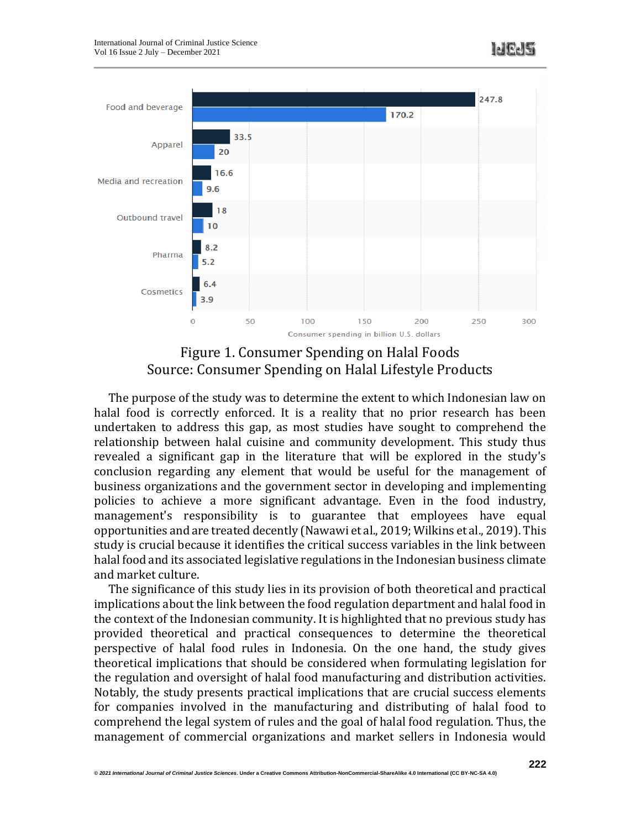

Figure 1. Consumer Spending on Halal Foods Source: Consumer Spending on Halal Lifestyle Products

The purpose of the study was to determine the extent to which Indonesian law on halal food is correctly enforced. It is a reality that no prior research has been undertaken to address this gap, as most studies have sought to comprehend the relationship between halal cuisine and community development. This study thus revealed a significant gap in the literature that will be explored in the study's conclusion regarding any element that would be useful for the management of business organizations and the government sector in developing and implementing policies to achieve a more significant advantage. Even in the food industry, management's responsibility is to guarantee that employees have equal opportunities and are treated decently (Nawawi et al., 2019; Wilkins et al., 2019). This study is crucial because it identifies the critical success variables in the link between halal food and its associated legislative regulations in the Indonesian business climate and market culture.

The significance of this study lies in its provision of both theoretical and practical implications about the link between the food regulation department and halal food in the context of the Indonesian community. It is highlighted that no previous study has provided theoretical and practical consequences to determine the theoretical perspective of halal food rules in Indonesia. On the one hand, the study gives theoretical implications that should be considered when formulating legislation for the regulation and oversight of halal food manufacturing and distribution activities. Notably, the study presents practical implications that are crucial success elements for companies involved in the manufacturing and distributing of halal food to comprehend the legal system of rules and the goal of halal food regulation. Thus, the management of commercial organizations and market sellers in Indonesia would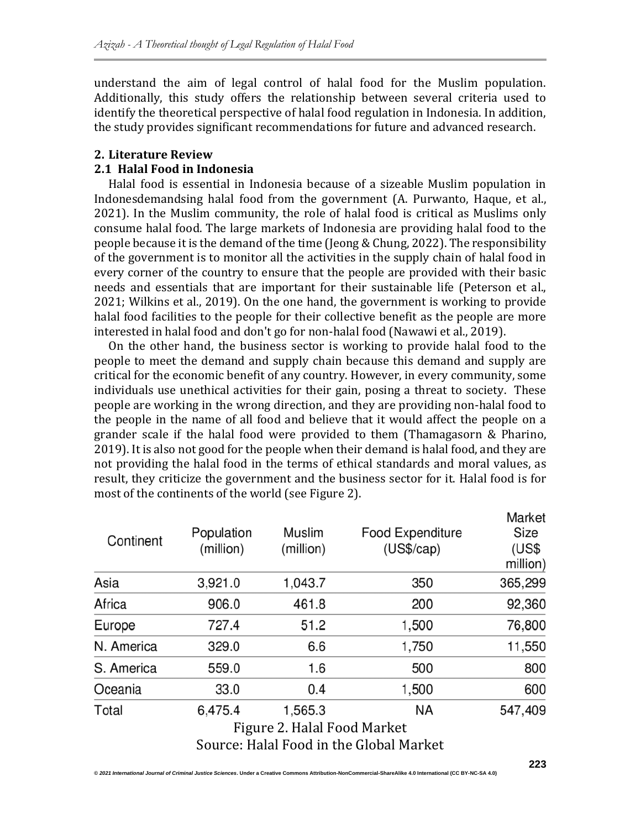understand the aim of legal control of halal food for the Muslim population. Additionally, this study offers the relationship between several criteria used to identify the theoretical perspective of halal food regulation in Indonesia. In addition, the study provides significant recommendations for future and advanced research.

# **2. Literature Review**

# **2.1 Halal Food in Indonesia**

Halal food is essential in Indonesia because of a sizeable Muslim population in Indonesdemandsing halal food from the government (A. Purwanto, Haque, et al., 2021). In the Muslim community, the role of halal food is critical as Muslims only consume halal food. The large markets of Indonesia are providing halal food to the people because it is the demand of the time (Jeong & Chung, 2022). The responsibility of the government is to monitor all the activities in the supply chain of halal food in every corner of the country to ensure that the people are provided with their basic needs and essentials that are important for their sustainable life (Peterson et al., 2021; Wilkins et al., 2019). On the one hand, the government is working to provide halal food facilities to the people for their collective benefit as the people are more interested in halal food and don't go for non-halal food (Nawawi et al., 2019).

On the other hand, the business sector is working to provide halal food to the people to meet the demand and supply chain because this demand and supply are critical for the economic benefit of any country. However, in every community, some individuals use unethical activities for their gain, posing a threat to society. These people are working in the wrong direction, and they are providing non-halal food to the people in the name of all food and believe that it would affect the people on a grander scale if the halal food were provided to them (Thamagasorn & Pharino, 2019). It is also not good for the people when their demand is halal food, and they are not providing the halal food in the terms of ethical standards and moral values, as result, they criticize the government and the business sector for it. Halal food is for most of the continents of the world (see Figure 2).

| Continent  | Population<br>(million) | <b>Muslim</b><br>(million)  | <b>Food Expenditure</b><br>(US\$/cap)   | Market<br>Size<br>(US\$<br>million) |
|------------|-------------------------|-----------------------------|-----------------------------------------|-------------------------------------|
| Asia       | 3,921.0                 | 1,043.7                     | 350                                     | 365,299                             |
| Africa     | 906.0                   | 461.8                       | 200                                     | 92,360                              |
| Europe     | 727.4                   | 51.2                        | 1,500                                   | 76,800                              |
| N. America | 329.0                   | 6.6                         | 1,750                                   | 11,550                              |
| S. America | 559.0                   | 1.6                         | 500                                     | 800                                 |
| Oceania    | 33.0                    | 0.4                         | 1,500                                   | 600                                 |
| Total      | 6,475.4                 | 1,565.3                     | <b>NA</b>                               | 547,409                             |
|            |                         | Figure 2. Halal Food Market |                                         |                                     |
|            |                         |                             | Source: Halal Food in the Global Market |                                     |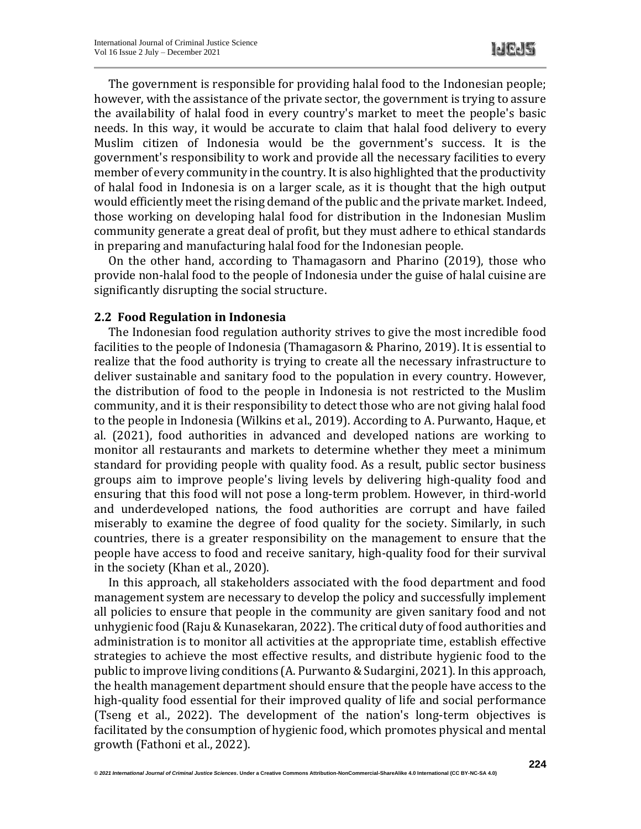The government is responsible for providing halal food to the Indonesian people; however, with the assistance of the private sector, the government is trying to assure the availability of halal food in every country's market to meet the people's basic needs. In this way, it would be accurate to claim that halal food delivery to every Muslim citizen of Indonesia would be the government's success. It is the government's responsibility to work and provide all the necessary facilities to every member of every community in the country. It is also highlighted that the productivity of halal food in Indonesia is on a larger scale, as it is thought that the high output would efficiently meet the rising demand of the public and the private market. Indeed, those working on developing halal food for distribution in the Indonesian Muslim community generate a great deal of profit, but they must adhere to ethical standards in preparing and manufacturing halal food for the Indonesian people.

On the other hand, according to Thamagasorn and Pharino (2019), those who provide non-halal food to the people of Indonesia under the guise of halal cuisine are significantly disrupting the social structure.

#### **2.2 Food Regulation in Indonesia**

The Indonesian food regulation authority strives to give the most incredible food facilities to the people of Indonesia (Thamagasorn & Pharino, 2019). It is essential to realize that the food authority is trying to create all the necessary infrastructure to deliver sustainable and sanitary food to the population in every country. However, the distribution of food to the people in Indonesia is not restricted to the Muslim community, and it is their responsibility to detect those who are not giving halal food to the people in Indonesia (Wilkins et al., 2019). According to A. Purwanto, Haque, et al. (2021), food authorities in advanced and developed nations are working to monitor all restaurants and markets to determine whether they meet a minimum standard for providing people with quality food. As a result, public sector business groups aim to improve people's living levels by delivering high-quality food and ensuring that this food will not pose a long-term problem. However, in third-world and underdeveloped nations, the food authorities are corrupt and have failed miserably to examine the degree of food quality for the society. Similarly, in such countries, there is a greater responsibility on the management to ensure that the people have access to food and receive sanitary, high-quality food for their survival in the society (Khan et al., 2020).

In this approach, all stakeholders associated with the food department and food management system are necessary to develop the policy and successfully implement all policies to ensure that people in the community are given sanitary food and not unhygienic food (Raju & Kunasekaran, 2022). The critical duty of food authorities and administration is to monitor all activities at the appropriate time, establish effective strategies to achieve the most effective results, and distribute hygienic food to the public to improve living conditions (A. Purwanto & Sudargini, 2021). In this approach, the health management department should ensure that the people have access to the high-quality food essential for their improved quality of life and social performance (Tseng et al., 2022). The development of the nation's long-term objectives is facilitated by the consumption of hygienic food, which promotes physical and mental growth (Fathoni et al., 2022).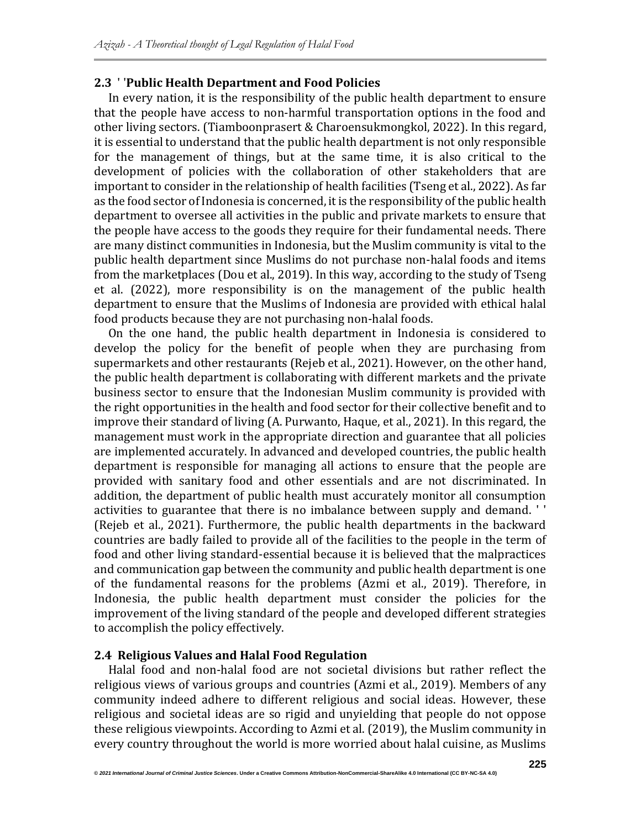#### **2.3** ' '**Public Health Department and Food Policies**

In every nation, it is the responsibility of the public health department to ensure that the people have access to non-harmful transportation options in the food and other living sectors. (Tiamboonprasert & Charoensukmongkol, 2022). In this regard, it is essential to understand that the public health department is not only responsible for the management of things, but at the same time, it is also critical to the development of policies with the collaboration of other stakeholders that are important to consider in the relationship of health facilities (Tseng et al., 2022). As far as the food sector of Indonesia is concerned, it is the responsibility of the public health department to oversee all activities in the public and private markets to ensure that the people have access to the goods they require for their fundamental needs. There are many distinct communities in Indonesia, but the Muslim community is vital to the public health department since Muslims do not purchase non-halal foods and items from the marketplaces (Dou et al., 2019). In this way, according to the study of Tseng et al. (2022), more responsibility is on the management of the public health department to ensure that the Muslims of Indonesia are provided with ethical halal food products because they are not purchasing non-halal foods.

On the one hand, the public health department in Indonesia is considered to develop the policy for the benefit of people when they are purchasing from supermarkets and other restaurants (Rejeb et al., 2021). However, on the other hand, the public health department is collaborating with different markets and the private business sector to ensure that the Indonesian Muslim community is provided with the right opportunities in the health and food sector for their collective benefit and to improve their standard of living (A. Purwanto, Haque, et al., 2021). In this regard, the management must work in the appropriate direction and guarantee that all policies are implemented accurately. In advanced and developed countries, the public health department is responsible for managing all actions to ensure that the people are provided with sanitary food and other essentials and are not discriminated. In addition, the department of public health must accurately monitor all consumption activities to guarantee that there is no imbalance between supply and demand. ' ' (Rejeb et al., 2021). Furthermore, the public health departments in the backward countries are badly failed to provide all of the facilities to the people in the term of food and other living standard-essential because it is believed that the malpractices and communication gap between the community and public health department is one of the fundamental reasons for the problems (Azmi et al., 2019). Therefore, in Indonesia, the public health department must consider the policies for the improvement of the living standard of the people and developed different strategies to accomplish the policy effectively.

#### **2.4 Religious Values and Halal Food Regulation**

Halal food and non-halal food are not societal divisions but rather reflect the religious views of various groups and countries (Azmi et al., 2019). Members of any community indeed adhere to different religious and social ideas. However, these religious and societal ideas are so rigid and unyielding that people do not oppose these religious viewpoints. According to Azmi et al. (2019), the Muslim community in every country throughout the world is more worried about halal cuisine, as Muslims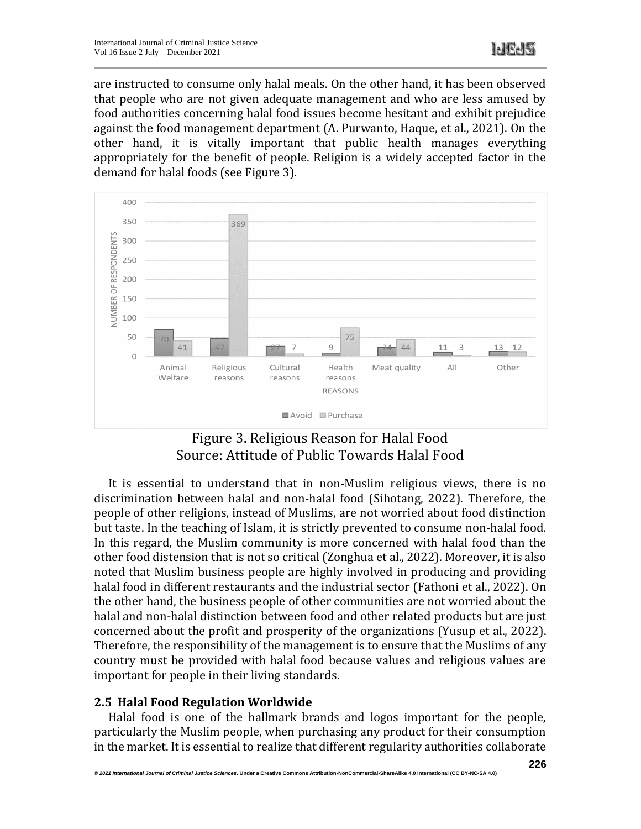are instructed to consume only halal meals. On the other hand, it has been observed that people who are not given adequate management and who are less amused by food authorities concerning halal food issues become hesitant and exhibit prejudice against the food management department (A. Purwanto, Haque, et al., 2021). On the other hand, it is vitally important that public health manages everything appropriately for the benefit of people. Religion is a widely accepted factor in the demand for halal foods (see Figure 3).





It is essential to understand that in non-Muslim religious views, there is no discrimination between halal and non-halal food (Sihotang, 2022). Therefore, the people of other religions, instead of Muslims, are not worried about food distinction but taste. In the teaching of Islam, it is strictly prevented to consume non-halal food. In this regard, the Muslim community is more concerned with halal food than the other food distension that is not so critical (Zonghua et al., 2022). Moreover, it is also noted that Muslim business people are highly involved in producing and providing halal food in different restaurants and the industrial sector (Fathoni et al., 2022). On the other hand, the business people of other communities are not worried about the halal and non-halal distinction between food and other related products but are just concerned about the profit and prosperity of the organizations (Yusup et al., 2022). Therefore, the responsibility of the management is to ensure that the Muslims of any country must be provided with halal food because values and religious values are important for people in their living standards.

# **2.5 Halal Food Regulation Worldwide**

Halal food is one of the hallmark brands and logos important for the people, particularly the Muslim people, when purchasing any product for their consumption in the market. It is essential to realize that different regularity authorities collaborate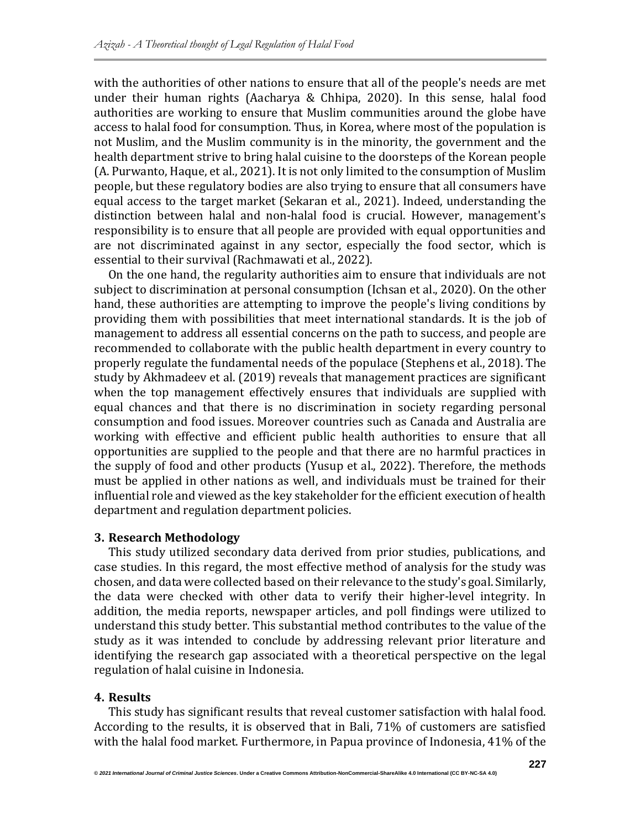with the authorities of other nations to ensure that all of the people's needs are met under their human rights (Aacharya & Chhipa, 2020). In this sense, halal food authorities are working to ensure that Muslim communities around the globe have access to halal food for consumption. Thus, in Korea, where most of the population is not Muslim, and the Muslim community is in the minority, the government and the health department strive to bring halal cuisine to the doorsteps of the Korean people (A. Purwanto, Haque, et al., 2021). It is not only limited to the consumption of Muslim people, but these regulatory bodies are also trying to ensure that all consumers have equal access to the target market (Sekaran et al., 2021). Indeed, understanding the distinction between halal and non-halal food is crucial. However, management's responsibility is to ensure that all people are provided with equal opportunities and are not discriminated against in any sector, especially the food sector, which is essential to their survival (Rachmawati et al., 2022).

On the one hand, the regularity authorities aim to ensure that individuals are not subject to discrimination at personal consumption (Ichsan et al., 2020). On the other hand, these authorities are attempting to improve the people's living conditions by providing them with possibilities that meet international standards. It is the job of management to address all essential concerns on the path to success, and people are recommended to collaborate with the public health department in every country to properly regulate the fundamental needs of the populace (Stephens et al., 2018). The study by Akhmadeev et al. (2019) reveals that management practices are significant when the top management effectively ensures that individuals are supplied with equal chances and that there is no discrimination in society regarding personal consumption and food issues. Moreover countries such as Canada and Australia are working with effective and efficient public health authorities to ensure that all opportunities are supplied to the people and that there are no harmful practices in the supply of food and other products (Yusup et al., 2022). Therefore, the methods must be applied in other nations as well, and individuals must be trained for their influential role and viewed as the key stakeholder for the efficient execution of health department and regulation department policies.

#### **3. Research Methodology**

This study utilized secondary data derived from prior studies, publications, and case studies. In this regard, the most effective method of analysis for the study was chosen, and data were collected based on their relevance to the study's goal. Similarly, the data were checked with other data to verify their higher-level integrity. In addition, the media reports, newspaper articles, and poll findings were utilized to understand this study better. This substantial method contributes to the value of the study as it was intended to conclude by addressing relevant prior literature and identifying the research gap associated with a theoretical perspective on the legal regulation of halal cuisine in Indonesia.

# **4. Results**

This study has significant results that reveal customer satisfaction with halal food. According to the results, it is observed that in Bali, 71% of customers are satisfied with the halal food market. Furthermore, in Papua province of Indonesia, 41% of the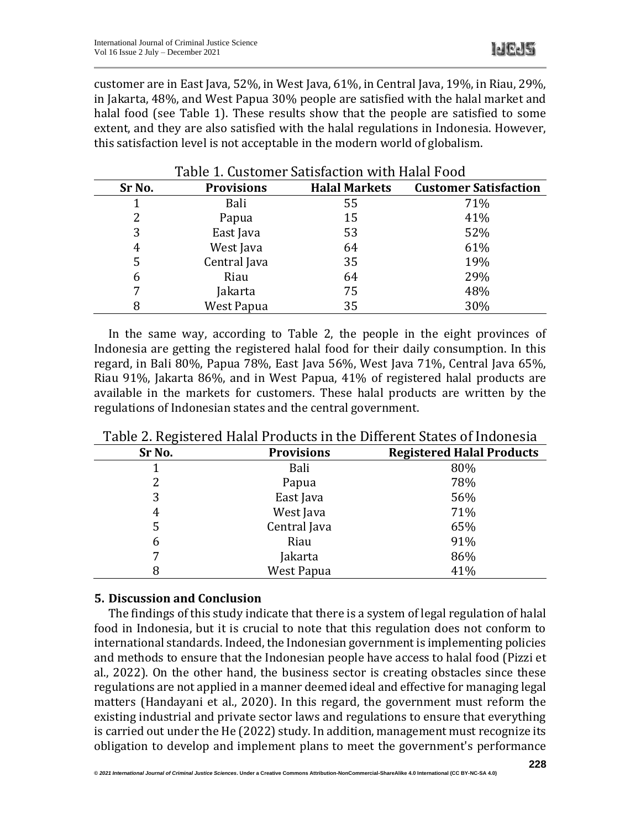customer are in East Java, 52%, in West Java, 61%, in Central Java, 19%, in Riau, 29%, in Jakarta, 48%, and West Papua 30% people are satisfied with the halal market and halal food (see Table 1). These results show that the people are satisfied to some extent, and they are also satisfied with the halal regulations in Indonesia. However, this satisfaction level is not acceptable in the modern world of globalism.

| TUDIC II GUDLOMICI DULIDIULLUM IITILII MUUTTOOM |                   |                      |                              |  |  |  |
|-------------------------------------------------|-------------------|----------------------|------------------------------|--|--|--|
| Sr No.                                          | <b>Provisions</b> | <b>Halal Markets</b> | <b>Customer Satisfaction</b> |  |  |  |
|                                                 | Bali              | 55                   | 71%                          |  |  |  |
| 2                                               | Papua             | 15                   | 41%                          |  |  |  |
| 3                                               | East Java         | 53                   | 52%                          |  |  |  |
| 4                                               | West Java         | 64                   | 61%                          |  |  |  |
| 5                                               | Central Java      | 35                   | 19%                          |  |  |  |
| 6                                               | Riau              | 64                   | 29%                          |  |  |  |
| 7                                               | Jakarta           | 75                   | 48%                          |  |  |  |
| 8                                               | <b>West Papua</b> | 35                   | 30%                          |  |  |  |

#### Table 1. Customer Satisfaction with Halal Food

In the same way, according to Table 2, the people in the eight provinces of Indonesia are getting the registered halal food for their daily consumption. In this regard, in Bali 80%, Papua 78%, East Java 56%, West Java 71%, Central Java 65%, Riau 91%, Jakarta 86%, and in West Papua, 41% of registered halal products are available in the markets for customers. These halal products are written by the regulations of Indonesian states and the central government.

| $\mathbf{C}$ |                   |                                  |
|--------------|-------------------|----------------------------------|
| Sr No.       | <b>Provisions</b> | <b>Registered Halal Products</b> |
|              | Bali              | 80%                              |
|              | Papua             | 78%                              |
| 3            | East Java         | 56%                              |
| 4            | West Java         | 71%                              |
| 5            | Central Java      | 65%                              |
| 6            | Riau              | 91%                              |
|              | Jakarta           | 86%                              |
| 8            | West Papua        | 41%                              |

Table 2. Registered Halal Products in the Different States of Indonesia

#### **5. Discussion and Conclusion**

The findings of this study indicate that there is a system of legal regulation of halal food in Indonesia, but it is crucial to note that this regulation does not conform to international standards. Indeed, the Indonesian government is implementing policies and methods to ensure that the Indonesian people have access to halal food (Pizzi et al., 2022). On the other hand, the business sector is creating obstacles since these regulations are not applied in a manner deemed ideal and effective for managing legal matters (Handayani et al., 2020). In this regard, the government must reform the existing industrial and private sector laws and regulations to ensure that everything is carried out under the He (2022) study. In addition, management must recognize its obligation to develop and implement plans to meet the government's performance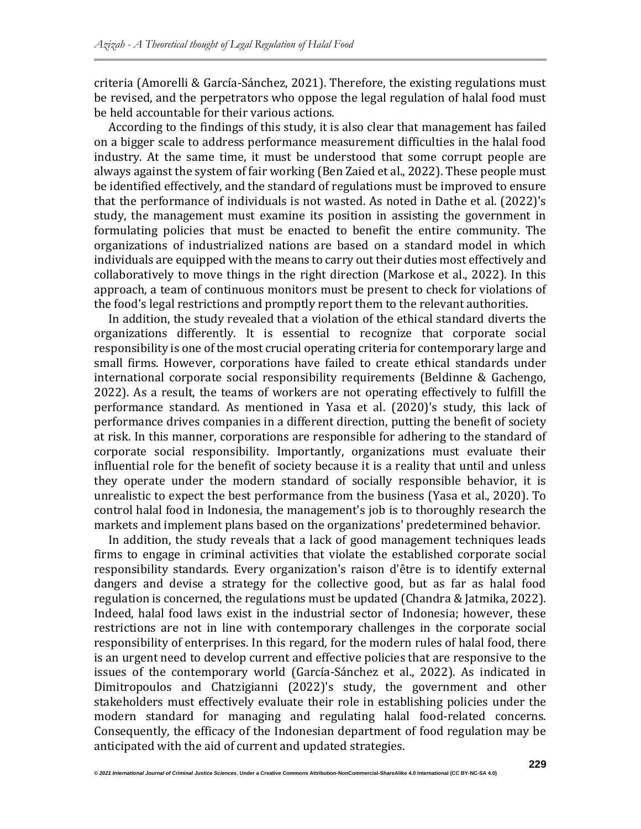criteria (Amorelli & García‐Sánchez, 2021). Therefore, the existing regulations must be revised, and the perpetrators who oppose the legal regulation of halal food must be held accountable for their various actions.

According to the findings of this study, it is also clear that management has failed on a bigger scale to address performance measurement difficulties in the halal food industry. At the same time, it must be understood that some corrupt people are always against the system of fair working (Ben Zaied et al., 2022). These people must be identified effectively, and the standard of regulations must be improved to ensure that the performance of individuals is not wasted. As noted in Dathe et al. (2022)'s study, the management must examine its position in assisting the government in formulating policies that must be enacted to benefit the entire community. The organizations of industrialized nations are based on a standard model in which individuals are equipped with the means to carry out their duties most effectively and collaboratively to move things in the right direction (Markose et al., 2022). In this approach, a team of continuous monitors must be present to check for violations of the food's legal restrictions and promptly report them to the relevant authorities.

In addition, the study revealed that a violation of the ethical standard diverts the organizations differently. It is essential to recognize that corporate social responsibility is one of the most crucial operating criteria for contemporary large and small firms. However, corporations have failed to create ethical standards under international corporate social responsibility requirements (Beldinne & Gachengo, 2022). As a result, the teams of workers are not operating effectively to fulfill the performance standard. As mentioned in Yasa et al. (2020)'s study, this lack of performance drives companies in a different direction, putting the benefit of society at risk. In this manner, corporations are responsible for adhering to the standard of corporate social responsibility. Importantly, organizations must evaluate their influential role for the benefit of society because it is a reality that until and unless they operate under the modern standard of socially responsible behavior, it is unrealistic to expect the best performance from the business (Yasa et al., 2020). To control halal food in Indonesia, the management's job is to thoroughly research the markets and implement plans based on the organizations' predetermined behavior.

In addition, the study reveals that a lack of good management techniques leads firms to engage in criminal activities that violate the established corporate social responsibility standards. Every organization's raison d'être is to identify external dangers and devise a strategy for the collective good, but as far as halal food regulation is concerned, the regulations must be updated (Chandra & Jatmika, 2022). Indeed, halal food laws exist in the industrial sector of Indonesia; however, these restrictions are not in line with contemporary challenges in the corporate social responsibility of enterprises. In this regard, for the modern rules of halal food, there is an urgent need to develop current and effective policies that are responsive to the issues of the contemporary world (García‐Sánchez et al., 2022). As indicated in Dimitropoulos and Chatzigianni (2022)'s study, the government and other stakeholders must effectively evaluate their role in establishing policies under the modern standard for managing and regulating halal food-related concerns. Consequently, the efficacy of the Indonesian department of food regulation may be anticipated with the aid of current and updated strategies.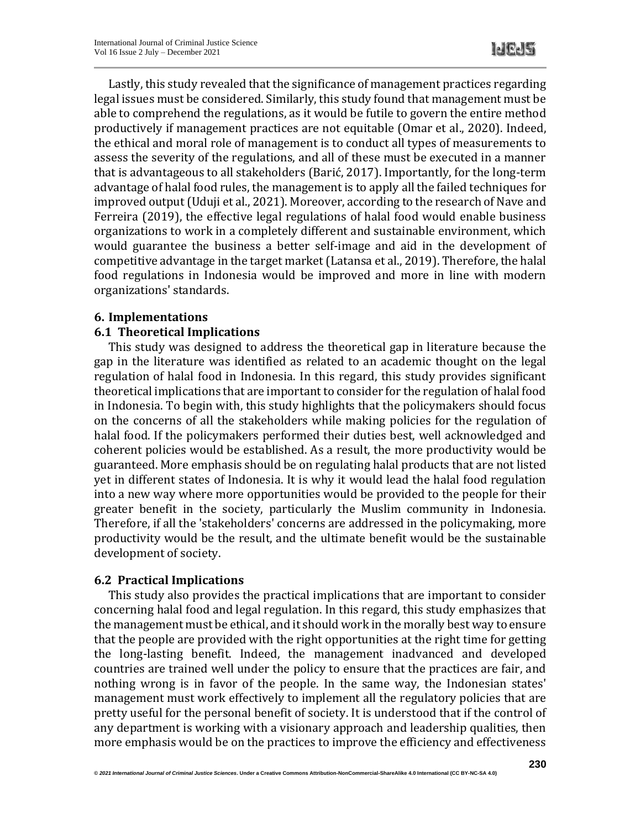Lastly, this study revealed that the significance of management practices regarding legal issues must be considered. Similarly, this study found that management must be able to comprehend the regulations, as it would be futile to govern the entire method productively if management practices are not equitable (Omar et al., 2020). Indeed, the ethical and moral role of management is to conduct all types of measurements to assess the severity of the regulations, and all of these must be executed in a manner that is advantageous to all stakeholders (Barić, 2017). Importantly, for the long-term advantage of halal food rules, the management is to apply all the failed techniques for improved output (Uduji et al., 2021). Moreover, according to the research of Nave and Ferreira (2019), the effective legal regulations of halal food would enable business organizations to work in a completely different and sustainable environment, which would guarantee the business a better self-image and aid in the development of competitive advantage in the target market (Latansa et al., 2019). Therefore, the halal food regulations in Indonesia would be improved and more in line with modern organizations' standards.

# **6. Implementations**

# **6.1 Theoretical Implications**

This study was designed to address the theoretical gap in literature because the gap in the literature was identified as related to an academic thought on the legal regulation of halal food in Indonesia. In this regard, this study provides significant theoretical implications that are important to consider for the regulation of halal food in Indonesia. To begin with, this study highlights that the policymakers should focus on the concerns of all the stakeholders while making policies for the regulation of halal food. If the policymakers performed their duties best, well acknowledged and coherent policies would be established. As a result, the more productivity would be guaranteed. More emphasis should be on regulating halal products that are not listed yet in different states of Indonesia. It is why it would lead the halal food regulation into a new way where more opportunities would be provided to the people for their greater benefit in the society, particularly the Muslim community in Indonesia. Therefore, if all the 'stakeholders' concerns are addressed in the policymaking, more productivity would be the result, and the ultimate benefit would be the sustainable development of society.

#### **6.2 Practical Implications**

This study also provides the practical implications that are important to consider concerning halal food and legal regulation. In this regard, this study emphasizes that the management must be ethical, and it should work in the morally best way to ensure that the people are provided with the right opportunities at the right time for getting the long-lasting benefit. Indeed, the management inadvanced and developed countries are trained well under the policy to ensure that the practices are fair, and nothing wrong is in favor of the people. In the same way, the Indonesian states' management must work effectively to implement all the regulatory policies that are pretty useful for the personal benefit of society. It is understood that if the control of any department is working with a visionary approach and leadership qualities, then more emphasis would be on the practices to improve the efficiency and effectiveness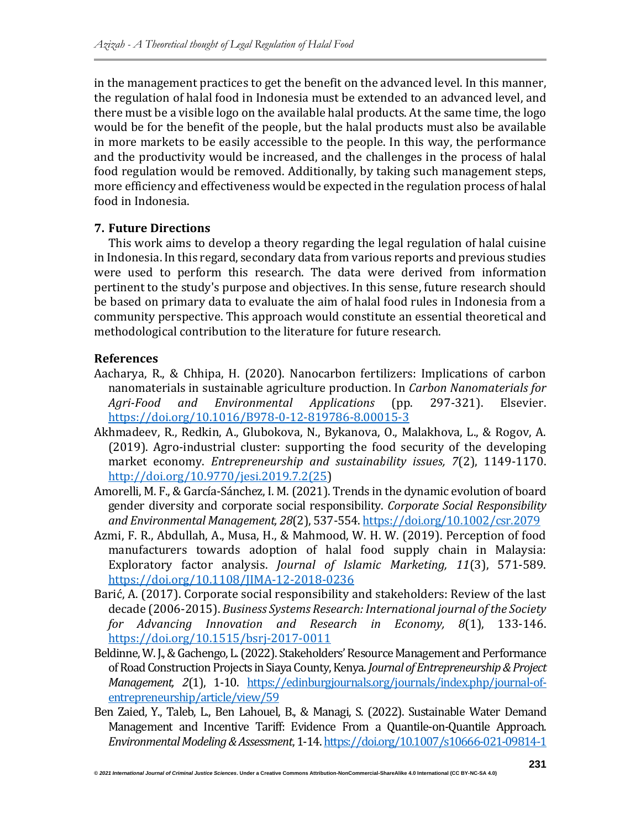in the management practices to get the benefit on the advanced level. In this manner, the regulation of halal food in Indonesia must be extended to an advanced level, and there must be a visible logo on the available halal products. At the same time, the logo would be for the benefit of the people, but the halal products must also be available in more markets to be easily accessible to the people. In this way, the performance and the productivity would be increased, and the challenges in the process of halal food regulation would be removed. Additionally, by taking such management steps, more efficiency and effectiveness would be expected in the regulation process of halal food in Indonesia.

# **7. Future Directions**

This work aims to develop a theory regarding the legal regulation of halal cuisine in Indonesia. In this regard, secondary data from various reports and previous studies were used to perform this research. The data were derived from information pertinent to the study's purpose and objectives. In this sense, future research should be based on primary data to evaluate the aim of halal food rules in Indonesia from a community perspective. This approach would constitute an essential theoretical and methodological contribution to the literature for future research.

# **References**

- Aacharya, R., & Chhipa, H. (2020). Nanocarbon fertilizers: Implications of carbon nanomaterials in sustainable agriculture production. In *Carbon Nanomaterials for Agri-Food and Environmental Applications* (pp. 297-321). Elsevier. <https://doi.org/10.1016/B978-0-12-819786-8.00015-3>
- Akhmadeev, R., Redkin, A., Glubokova, N., Bykanova, O., Malakhova, L., & Rogov, A. (2019). Agro-industrial cluster: supporting the food security of the developing market economy. *Entrepreneurship and sustainability issues, 7*(2), 1149-1170. [http://doi.org/10.9770/jesi.2019.7.2\(25\)](http://doi.org/10.9770/jesi.2019.7.2(25)
- Amorelli, M. F., & García‐Sánchez, I. M. (2021). Trends in the dynamic evolution of board gender diversity and corporate social responsibility. *Corporate Social Responsibility and Environmental Management, 28*(2), 537-554[. https://doi.org/10.1002/csr.2079](https://doi.org/10.1002/csr.2079)
- Azmi, F. R., Abdullah, A., Musa, H., & Mahmood, W. H. W. (2019). Perception of food manufacturers towards adoption of halal food supply chain in Malaysia: Exploratory factor analysis. *Journal of Islamic Marketing, 11*(3), 571-589. <https://doi.org/10.1108/JIMA-12-2018-0236>
- Barić, A. (2017). Corporate social responsibility and stakeholders: Review of the last decade (2006-2015). *Business Systems Research: International journal of the Society for Advancing Innovation and Research in Economy, 8*(1), 133-146. <https://doi.org/10.1515/bsrj-2017-0011>
- Beldinne, W. J., & Gachengo, L. (2022). Stakeholders' Resource Management and Performance of Road Construction Projects in Siaya County, Kenya. *Journal of Entrepreneurship & Project Management, 2*(1), 1-10. [https://edinburgjournals.org/journals/index.php/journal-of](https://edinburgjournals.org/journals/index.php/journal-of-entrepreneurship/article/view/59)[entrepreneurship/article/view/59](https://edinburgjournals.org/journals/index.php/journal-of-entrepreneurship/article/view/59)
- Ben Zaied, Y., Taleb, L., Ben Lahouel, B., & Managi, S. (2022). Sustainable Water Demand Management and Incentive Tariff: Evidence From a Quantile-on-Quantile Approach. *Environmental Modeling & Assessment*, 1-14[. https://doi.org/10.1007/s10666-021-09814-1](https://doi.org/10.1007/s10666-021-09814-1)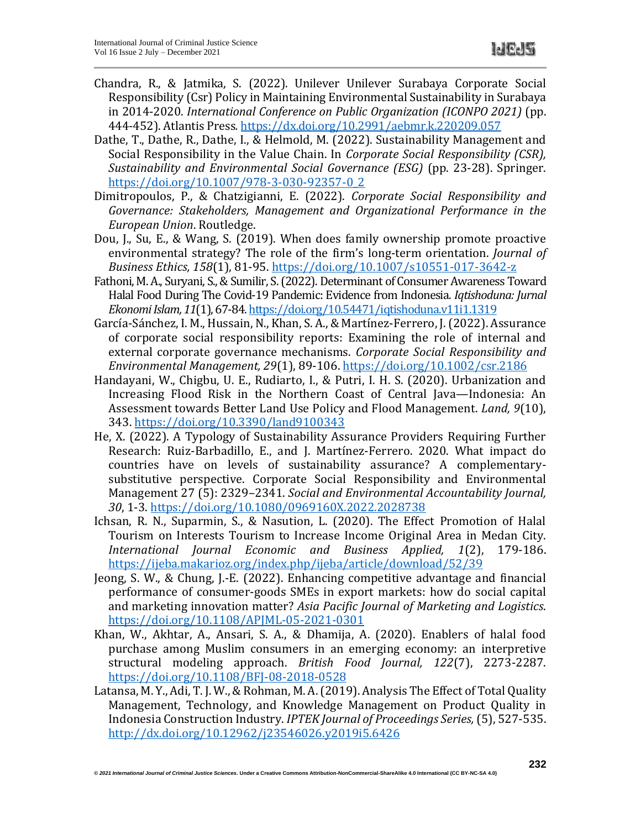- Chandra, R., & Jatmika, S. (2022). Unilever Unilever Surabaya Corporate Social Responsibility (Csr) Policy in Maintaining Environmental Sustainability in Surabaya in 2014-2020. *International Conference on Public Organization (ICONPO 2021)* (pp. 444-452). Atlantis Press*.* <https://dx.doi.org/10.2991/aebmr.k.220209.057>
- Dathe, T., Dathe, R., Dathe, I., & Helmold, M. (2022). Sustainability Management and Social Responsibility in the Value Chain. In *Corporate Social Responsibility (CSR), Sustainability and Environmental Social Governance (ESG)* (pp. 23-28). Springer. [https://doi.org/10.1007/978-3-030-92357-0\\_2](https://doi.org/10.1007/978-3-030-92357-0_2)
- Dimitropoulos, P., & Chatzigianni, E. (2022). *Corporate Social Responsibility and Governance: Stakeholders, Management and Organizational Performance in the European Union*. Routledge.
- Dou, J., Su, E., & Wang, S. (2019). When does family ownership promote proactive environmental strategy? The role of the firm's long-term orientation. *Journal of Business Ethics, 158*(1), 81-95.<https://doi.org/10.1007/s10551-017-3642-z>
- Fathoni, M. A., Suryani, S., & Sumilir, S. (2022). Determinant of Consumer Awareness Toward Halal Food During The Covid-19 Pandemic: Evidence from Indonesia. *Iqtishoduna: Jurnal Ekonomi Islam, 11*(1), 67-84[. https://doi.org/10.54471/iqtishoduna.v11i1.1319](https://doi.org/10.54471/iqtishoduna.v11i1.1319)
- García‐Sánchez, I. M., Hussain, N., Khan, S. A., & Martínez‐Ferrero, J. (2022). Assurance of corporate social responsibility reports: Examining the role of internal and external corporate governance mechanisms. *Corporate Social Responsibility and Environmental Management, 29*(1), 89-106.<https://doi.org/10.1002/csr.2186>
- Handayani, W., Chigbu, U. E., Rudiarto, I., & Putri, I. H. S. (2020). Urbanization and Increasing Flood Risk in the Northern Coast of Central Java—Indonesia: An Assessment towards Better Land Use Policy and Flood Management. *Land, 9*(10), 343[. https://doi.org/10.3390/land9100343](https://doi.org/10.3390/land9100343)
- He, X. (2022). A Typology of Sustainability Assurance Providers Requiring Further Research: Ruiz-Barbadillo, E., and J. Martínez-Ferrero. 2020. What impact do countries have on levels of sustainability assurance? A complementarysubstitutive perspective. Corporate Social Responsibility and Environmental Management 27 (5): 2329–2341. *Social and Environmental Accountability Journal, 30*, 1-3.<https://doi.org/10.1080/0969160X.2022.2028738>
- Ichsan, R. N., Suparmin, S., & Nasution, L. (2020). The Effect Promotion of Halal Tourism on Interests Tourism to Increase Income Original Area in Medan City. *International Journal Economic and Business Applied, 1*(2), 179-186. <https://ijeba.makarioz.org/index.php/ijeba/article/download/52/39>
- Jeong, S. W., & Chung, J.-E. (2022). Enhancing competitive advantage and financial performance of consumer-goods SMEs in export markets: how do social capital and marketing innovation matter? *Asia Pacific Journal of Marketing and Logistics*. <https://doi.org/10.1108/APJML-05-2021-0301>
- Khan, W., Akhtar, A., Ansari, S. A., & Dhamija, A. (2020). Enablers of halal food purchase among Muslim consumers in an emerging economy: an interpretive structural modeling approach. *British Food Journal, 122*(7), 2273-2287. <https://doi.org/10.1108/BFJ-08-2018-0528>
- Latansa, M. Y., Adi, T. J. W., & Rohman, M. A. (2019). Analysis The Effect of Total Quality Management, Technology, and Knowledge Management on Product Quality in Indonesia Construction Industry. *IPTEK Journal of Proceedings Series,* (5), 527-535. <http://dx.doi.org/10.12962/j23546026.y2019i5.6426>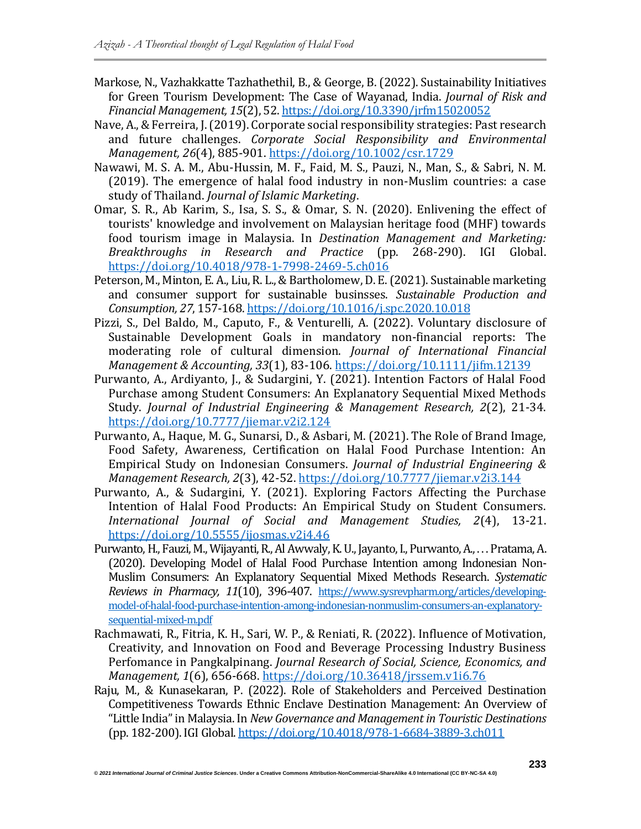- Markose, N., Vazhakkatte Tazhathethil, B., & George, B. (2022). Sustainability Initiatives for Green Tourism Development: The Case of Wayanad, India. *Journal of Risk and Financial Management, 15*(2), 52[. https://doi.org/10.3390/jrfm15020052](https://doi.org/10.3390/jrfm15020052)
- Nave, A., & Ferreira, J. (2019). Corporate social responsibility strategies: Past research and future challenges. *Corporate Social Responsibility and Environmental Management, 26*(4), 885-901.<https://doi.org/10.1002/csr.1729>
- Nawawi, M. S. A. M., Abu-Hussin, M. F., Faid, M. S., Pauzi, N., Man, S., & Sabri, N. M. (2019). The emergence of halal food industry in non-Muslim countries: a case study of Thailand. *Journal of Islamic Marketing*.
- Omar, S. R., Ab Karim, S., Isa, S. S., & Omar, S. N. (2020). Enlivening the effect of tourists' knowledge and involvement on Malaysian heritage food (MHF) towards food tourism image in Malaysia. In *Destination Management and Marketing: Breakthroughs in Research and Practice* (pp. 268-290). IGI Global. <https://doi.org/10.4018/978-1-7998-2469-5.ch016>
- Peterson, M., Minton, E. A., Liu, R. L., & Bartholomew, D. E. (2021). Sustainable marketing and consumer support for sustainable businsses. *Sustainable Production and Consumption, 27*, 157-168.<https://doi.org/10.1016/j.spc.2020.10.018>
- Pizzi, S., Del Baldo, M., Caputo, F., & Venturelli, A. (2022). Voluntary disclosure of Sustainable Development Goals in mandatory non‐financial reports: The moderating role of cultural dimension. *Journal of International Financial Management & Accounting, 33*(1), 83-106.<https://doi.org/10.1111/jifm.12139>
- Purwanto, A., Ardiyanto, J., & Sudargini, Y. (2021). Intention Factors of Halal Food Purchase among Student Consumers: An Explanatory Sequential Mixed Methods Study. *Journal of Industrial Engineering & Management Research, 2*(2), 21-34. <https://doi.org/10.7777/jiemar.v2i2.124>
- Purwanto, A., Haque, M. G., Sunarsi, D., & Asbari, M. (2021). The Role of Brand Image, Food Safety, Awareness, Certification on Halal Food Purchase Intention: An Empirical Study on Indonesian Consumers. *Journal of Industrial Engineering & Management Research, 2*(3), 42-52.<https://doi.org/10.7777/jiemar.v2i3.144>
- Purwanto, A., & Sudargini, Y. (2021). Exploring Factors Affecting the Purchase Intention of Halal Food Products: An Empirical Study on Student Consumers. *International Journal of Social and Management Studies, 2*(4), 13-21. <https://doi.org/10.5555/ijosmas.v2i4.46>
- Purwanto, H., Fauzi, M., Wijayanti, R., Al Awwaly, K. U., Jayanto, I., Purwanto, A., . . . Pratama, A. (2020). Developing Model of Halal Food Purchase Intention among Indonesian Non-Muslim Consumers: An Explanatory Sequential Mixed Methods Research. *Systematic Reviews in Pharmacy, 11*(10), 396-407. [https://www.sysrevpharm.org/articles/developing](https://www.sysrevpharm.org/articles/developing-model-of-halal-food-purchase-intention-among-indonesian-nonmuslim-consumers-an-explanatory-sequential-mixed-m.pdf)[model-of-halal-food-purchase-intention-among-indonesian-nonmuslim-consumers-an-explanatory](https://www.sysrevpharm.org/articles/developing-model-of-halal-food-purchase-intention-among-indonesian-nonmuslim-consumers-an-explanatory-sequential-mixed-m.pdf)[sequential-mixed-m.pdf](https://www.sysrevpharm.org/articles/developing-model-of-halal-food-purchase-intention-among-indonesian-nonmuslim-consumers-an-explanatory-sequential-mixed-m.pdf)
- Rachmawati, R., Fitria, K. H., Sari, W. P., & Reniati, R. (2022). Influence of Motivation, Creativity, and Innovation on Food and Beverage Processing Industry Business Perfomance in Pangkalpinang. *Journal Research of Social, Science, Economics, and Management, 1*(6), 656-668.<https://doi.org/10.36418/jrssem.v1i6.76>
- Raju, M., & Kunasekaran, P. (2022). Role of Stakeholders and Perceived Destination Competitiveness Towards Ethnic Enclave Destination Management: An Overview of "Little India" in Malaysia. In *New Governance and Management in Touristic Destinations* (pp. 182-200). IGI Global[. https://doi.org/10.4018/978-1-6684-3889-3.ch011](https://doi.org/10.4018/978-1-6684-3889-3.ch011)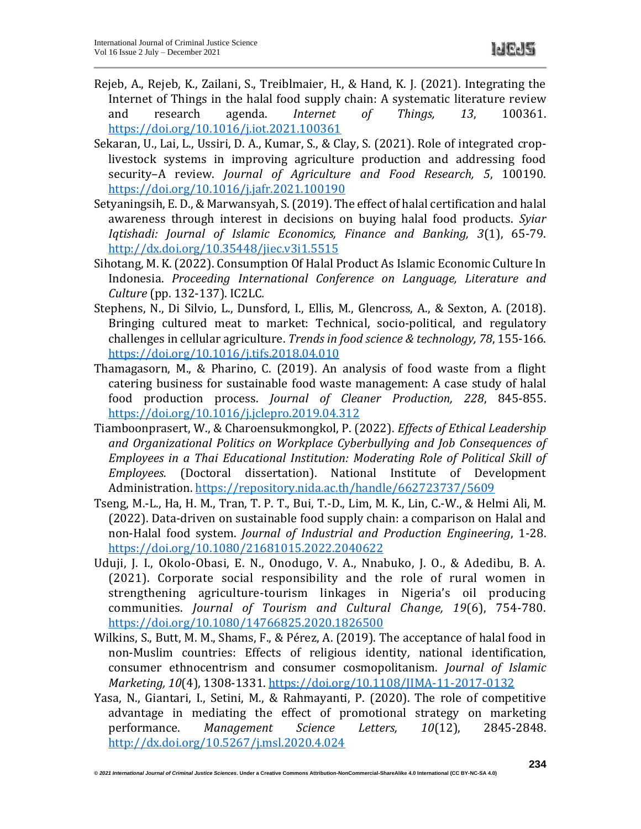- Rejeb, A., Rejeb, K., Zailani, S., Treiblmaier, H., & Hand, K. J. (2021). Integrating the Internet of Things in the halal food supply chain: A systematic literature review and research agenda. *Internet of Things, 13*, 100361. <https://doi.org/10.1016/j.iot.2021.100361>
- Sekaran, U., Lai, L., Ussiri, D. A., Kumar, S., & Clay, S. (2021). Role of integrated croplivestock systems in improving agriculture production and addressing food security–A review. *Journal of Agriculture and Food Research, 5*, 100190. <https://doi.org/10.1016/j.jafr.2021.100190>
- Setyaningsih, E. D., & Marwansyah, S. (2019). The effect of halal certification and halal awareness through interest in decisions on buying halal food products. *Syiar Iqtishadi: Journal of Islamic Economics, Finance and Banking, 3*(1), 65-79. <http://dx.doi.org/10.35448/jiec.v3i1.5515>
- Sihotang, M. K. (2022). Consumption Of Halal Product As Islamic Economic Culture In Indonesia. *Proceeding International Conference on Language, Literature and Culture* (pp. 132-137). IC2LC*.*
- Stephens, N., Di Silvio, L., Dunsford, I., Ellis, M., Glencross, A., & Sexton, A. (2018). Bringing cultured meat to market: Technical, socio-political, and regulatory challenges in cellular agriculture. *Trends in food science & technology, 78*, 155-166. <https://doi.org/10.1016/j.tifs.2018.04.010>
- Thamagasorn, M., & Pharino, C. (2019). An analysis of food waste from a flight catering business for sustainable food waste management: A case study of halal food production process. *Journal of Cleaner Production, 228*, 845-855. <https://doi.org/10.1016/j.jclepro.2019.04.312>
- Tiamboonprasert, W., & Charoensukmongkol, P. (2022). *Effects of Ethical Leadership and Organizational Politics on Workplace Cyberbullying and Job Consequences of Employees in a Thai Educational Institution: Moderating Role of Political Skill of Employees.* (Doctoral dissertation). National Institute of Development Administration.<https://repository.nida.ac.th/handle/662723737/5609>
- Tseng, M.-L., Ha, H. M., Tran, T. P. T., Bui, T.-D., Lim, M. K., Lin, C.-W., & Helmi Ali, M. (2022). Data-driven on sustainable food supply chain: a comparison on Halal and non-Halal food system. *Journal of Industrial and Production Engineering*, 1-28. <https://doi.org/10.1080/21681015.2022.2040622>
- Uduji, J. I., Okolo-Obasi, E. N., Onodugo, V. A., Nnabuko, J. O., & Adedibu, B. A. (2021). Corporate social responsibility and the role of rural women in strengthening agriculture-tourism linkages in Nigeria's oil producing communities. *Journal of Tourism and Cultural Change, 19*(6), 754-780. <https://doi.org/10.1080/14766825.2020.1826500>
- Wilkins, S., Butt, M. M., Shams, F., & Pérez, A. (2019). The acceptance of halal food in non-Muslim countries: Effects of religious identity, national identification, consumer ethnocentrism and consumer cosmopolitanism. *Journal of Islamic Marketing, 10*(4), 1308-1331.<https://doi.org/10.1108/JIMA-11-2017-0132>
- Yasa, N., Giantari, I., Setini, M., & Rahmayanti, P. (2020). The role of competitive advantage in mediating the effect of promotional strategy on marketing performance. *Management Science Letters, 10*(12), 2845-2848. <http://dx.doi.org/10.5267/j.msl.2020.4.024>